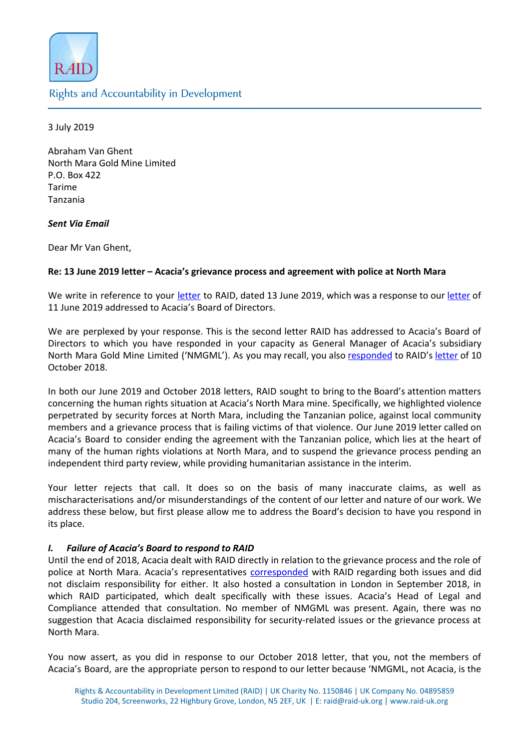

**Rights and Accountability in Development** 

3 July 2019

Abraham Van Ghent North Mara Gold Mine Limited P.O. Box 422 Tarime Tanzania

## Sent Via Email

Dear Mr Van Ghent,

# Re: 13 June 2019 letter – Acacia's grievance process and agreement with police at North Mara

We write in reference to your [letter](http://www.raid-uk.org/sites/default/files/raid_letter_to_board_of_acacia_mining_11_june_2019.pdf) to RAID, dated 13 June 2019, which was a response to our letter of 11 June 2019 addressed to Acacia's Board of Directors.

We are perplexed by your response. This is the second letter RAID has addressed to Acacia's Board of Directors to which you have responded in your capacity as General Manager of Acacia's subsidiary North Mara Gold Mine Limited ('NMGML'). As you may recall, you also [responded](https://www.acaciamining.com/~/media/Files/A/Acacia/documents/grievance/NMGML-response-to-RAID-letter-20181130.pdf) to RAID's [letter](http://www.raid-uk.org/sites/default/files/raid_letter_to_acacia_board_10_october_2018.pdf) of 10 October 2018.

In both our June 2019 and October 2018 letters, RAID sought to bring to the Board's attention matters concerning the human rights situation at Acacia's North Mara mine. Specifically, we highlighted violence perpetrated by security forces at North Mara, including the Tanzanian police, against local community members and a grievance process that is failing victims of that violence. Our June 2019 letter called on Acacia's Board to consider ending the agreement with the Tanzanian police, which lies at the heart of many of the human rights violations at North Mara, and to suspend the grievance process pending an independent third party review, while providing humanitarian assistance in the interim.

Your letter rejects that call. It does so on the basis of many inaccurate claims, as well as mischaracterisations and/or misunderstandings of the content of our letter and nature of our work. We address these below, but first please allow me to address the Board's decision to have you respond in its place.

# I. Failure of Acacia's Board to respond to RAID

Until the end of 2018, Acacia dealt with RAID directly in relation to the grievance process and the role of police at North Mara. Acacia's representatives [corresponded](https://miningwatch.ca/sites/default/files/pgeletalettertoraidmwcjan17.pdf) with RAID regarding both issues and did not disclaim responsibility for either. It also hosted a consultation in London in September 2018, in which RAID participated, which dealt specifically with these issues. Acacia's Head of Legal and Compliance attended that consultation. No member of NMGML was present. Again, there was no suggestion that Acacia disclaimed responsibility for security-related issues or the grievance process at North Mara.

You now assert, as you did in response to our October 2018 letter, that you, not the members of Acacia's Board, are the appropriate person to respond to our letter because 'NMGML, not Acacia, is the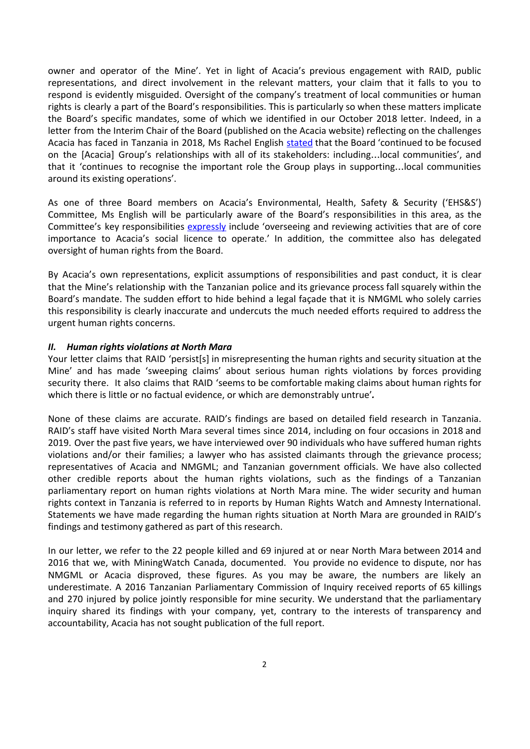owner and operator of the Mine'. Yet in light of Acacia's previous engagement with RAID, public representations, and direct involvement in the relevant matters, your claim that it falls to you to respond is evidently misguided. Oversight of the company's treatment of local communities or human rights is clearly a part of the Board's responsibilities. This is particularly so when these matters implicate the Board's specific mandates, some of which we identified in our October 2018 letter. Indeed, in a letter from the Interim Chair of the Board (published on the Acacia website) reflecting on the challenges Acacia has faced in Tanzania in 2018, Ms Rachel English [stated](https://www.acaciamining.com/about-us/corporate-governance.aspx) that the Board 'continued to be focused on the [Acacia] Group's relationships with all of its stakeholders: including…local communities', and that it 'continues to recognise the important role the Group plays in supporting…local communities around its existing operations'.

As one of three Board members on Acacia's Environmental, Health, Safety & Security ('EHS&S') Committee, Ms English will be particularly aware of the Board's responsibilities in this area, as the Committee's key responsibilities [expressly](https://www.acaciamining.com/about-us/corporate-governance/board-committees.aspx) include 'overseeing and reviewing activities that are of core importance to Acacia's social licence to operate.' In addition, the committee also has delegated oversight of human rights from the Board.

By Acacia's own representations, explicit assumptions of responsibilities and past conduct, it is clear that the Mine's relationship with the Tanzanian police and its grievance process fall squarely within the Board's mandate. The sudden effort to hide behind a legal façade that it is NMGML who solely carries this responsibility is clearly inaccurate and undercuts the much needed efforts required to address the urgent human rights concerns.

#### II. Human rights violations at North Mara

Your letter claims that RAID 'persist[s] in misrepresenting the human rights and security situation at the Mine' and has made 'sweeping claims' about serious human rights violations by forces providing security there. It also claims that RAID 'seems to be comfortable making claims about human rights for which there is little or no factual evidence, or which are demonstrably untrue'.

None of these claims are accurate. RAID's findings are based on detailed field research in Tanzania. RAID's staff have visited North Mara several times since 2014, including on four occasions in 2018 and 2019. Over the past five years, we have interviewed over 90 individuals who have suffered human rights violations and/or their families; a lawyer who has assisted claimants through the grievance process; representatives of Acacia and NMGML; and Tanzanian government officials. We have also collected other credible reports about the human rights violations, such as the findings of a Tanzanian parliamentary report on human rights violations at North Mara mine. The wider security and human rights context in Tanzania is referred to in reports by Human Rights Watch and Amnesty International. Statements we have made regarding the human rights situation at North Mara are grounded in RAID's findings and testimony gathered as part of this research.

In our letter, we refer to the 22 people killed and 69 injured at or near North Mara between 2014 and 2016 that we, with MiningWatch Canada, documented. You provide no evidence to dispute, nor has NMGML or Acacia disproved, these figures. As you may be aware, the numbers are likely an underestimate. A 2016 Tanzanian Parliamentary Commission of Inquiry received reports of 65 killings and 270 injured by police jointly responsible for mine security. We understand that the parliamentary inquiry shared its findings with your company, yet, contrary to the interests of transparency and accountability, Acacia has not sought publication of the full report.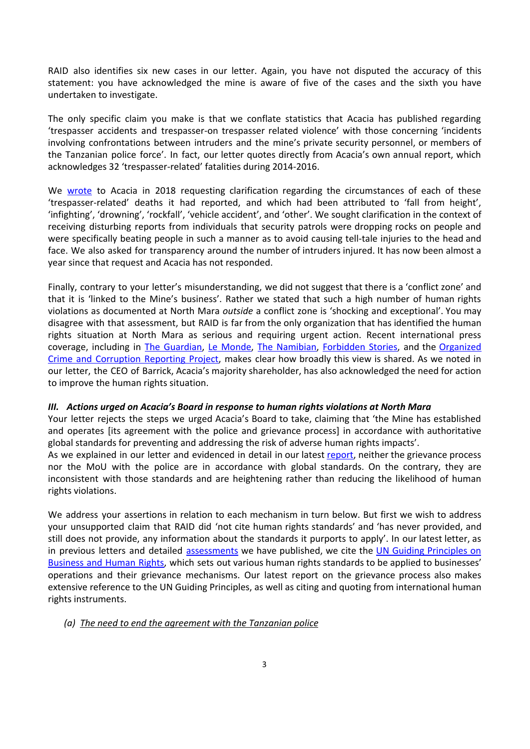RAID also identifies six new cases in our letter. Again, you have not disputed the accuracy of this statement: you have acknowledged the mine is aware of five of the cases and the sixth you have undertaken to investigate.

The only specific claim you make is that we conflate statistics that Acacia has published regarding 'trespasser accidents and trespasser-on trespasser related violence' with those concerning 'incidents involving confrontations between intruders and the mine's private security personnel, or members of the Tanzanian police force'. In fact, our letter quotes directly from Acacia's own annual report, which acknowledges 32 'trespasser-related' fatalities during 2014-2016.

We [wrote](http://www.raid-uk.org/sites/default/files/follow-up_questions_from_raid_to_acacia_mining_july_2018.pdf) to Acacia in 2018 requesting clarification regarding the circumstances of each of these 'trespasser-related' deaths it had reported, and which had been attributed to 'fall from height', 'infighting', 'drowning', 'rockfall', 'vehicle accident', and 'other'. We sought clarification in the context of receiving disturbing reports from individuals that security patrols were dropping rocks on people and were specifically beating people in such a manner as to avoid causing tell-tale injuries to the head and face. We also asked for transparency around the number of intruders injured. It has now been almost a year since that request and Acacia has not responded.

Finally, contrary to your letter's misunderstanding, we did not suggest that there is a 'conflict zone' and that it is 'linked to the Mine's business'. Rather we stated that such a high number of human rights violations as documented at North Mara *outside* a conflict zone is 'shocking and exceptional'. You may disagree with that assessment, but RAID is far from the only organization that has identified the human rights situation at North Mara as serious and requiring urgent action. Recent international press coverage, including in The [Guardian](https://www.theguardian.com/environment/2019/jun/18/murder-rape-claims-of-contamination-tanzanian-goldmine), Le [Monde,](https://www.lemonde.fr/afrique/article/2019/06/18/en-tanzanie-la-mine-d-or-accusee-d-atteintes-aux-droits-humains-et-a-l-environnement_5478104_3212.html) The [Namibian](https://www.namibian.com.na/79835/read/Mines-dirty-secrets-echo-on-three-continents), [Forbidden](https://forbiddenstories.org/silence-is-golden-for-a-tanzanian-mine/) Stories, and the [Organized](https://www.occrp.org/en/investigations/environmental-investigations-prompt-killing-and-silencing-of-journalists) Crime and [Corruption](https://www.occrp.org/en/investigations/environmental-investigations-prompt-killing-and-silencing-of-journalists) Reporting Project, makes clear how broadly this view is shared. As we noted in our letter, the CEO of Barrick, Acacia's majority shareholder, has also acknowledged the need for action to improve the human rights situation.

### III. Actions urged on Acacia's Board in response to human rights violations at North Mara

Your letter rejects the steps we urged Acacia's Board to take, claiming that 'the Mine has established and operates [its agreement with the police and grievance process] in accordance with authoritative global standards for preventing and addressing the risk of adverse human rights impacts'.

As we explained in our letter and evidenced in detail in our latest [report,](http://www.raid-uk.org/sites/default/files/raid_report_on_private_grievance_mechanisms_final_12_june_2019.pdf) neither the grievance process nor the MoU with the police are in accordance with global standards. On the contrary, they are inconsistent with those standards and are heightening rather than reducing the likelihood of human rights violations.

We address your assertions in relation to each mechanism in turn below. But first we wish to address your unsupported claim that RAID did 'not cite human rights standards' and 'has never provided, and still does not provide, any information about the standards it purports to apply'. In our latest letter, as in previous letters and detailed [assessments](http://www.raid-uk.org/sites/default/files/raid_lhrc_assessment_of_acacia_ogm.pdf) we have published, we cite the UN Guiding [Principles](https://www.ohchr.org/Documents/Publications/GuidingPrinciplesBusinessHR_EN.pdf) on [Business](https://www.ohchr.org/Documents/Publications/GuidingPrinciplesBusinessHR_EN.pdf) and Human Rights, which sets out various human rights standards to be applied to businesses' operations and their grievance mechanisms. Our latest report on the grievance process also makes extensive reference to the UN Guiding Principles, as well as citing and quoting from international human rights instruments.

#### (a) The need to end the agreement with the Tanzanian police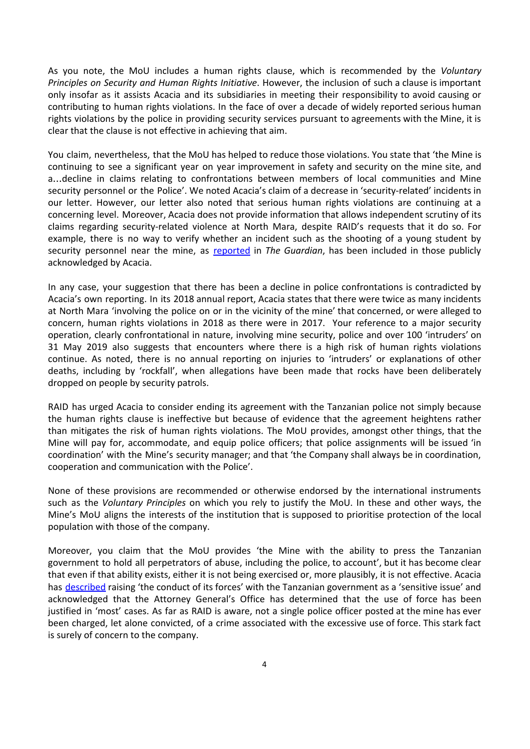As you note, the MoU includes a human rights clause, which is recommended by the Voluntary Principles on Security and Human Rights Initiative. However, the inclusion of such a clause is important only insofar as it assists Acacia and its subsidiaries in meeting their responsibility to avoid causing or contributing to human rights violations. In the face of over a decade of widely reported serious human rights violations by the police in providing security services pursuant to agreements with the Mine, it is clear that the clause is not effective in achieving that aim.

You claim, nevertheless, that the MoU has helped to reduce those violations. You state that 'the Mine is continuing to see a significant year on year improvement in safety and security on the mine site, and a…decline in claims relating to confrontations between members of local communities and Mine security personnel or the Police'. We noted Acacia's claim of a decrease in 'security-related' incidents in our letter. However, our letter also noted that serious human rights violations are continuing at a concerning level. Moreover, Acacia does not provide information that allows independent scrutiny of its claims regarding security-related violence at North Mara, despite RAID's requests that it do so. For example, there is no way to verify whether an incident such as the shooting of a young student by security personnel near the mine, as [reported](https://www.theguardian.com/environment/2019/jun/18/murder-rape-claims-of-contamination-tanzanian-goldmine) in The Guardian, has been included in those publicly acknowledged by Acacia.

In any case, your suggestion that there has been a decline in police confrontations is contradicted by Acacia's own reporting. In its 2018 annual report, Acacia states that there were twice as many incidents at North Mara 'involving the police on or in the vicinity of the mine' that concerned, or were alleged to concern, human rights violations in 2018 as there were in 2017. Your reference to a major security operation, clearly confrontational in nature, involving mine security, police and over 100 'intruders' on 31 May 2019 also suggests that encounters where there is a high risk of human rights violations continue. As noted, there is no annual reporting on injuries to 'intruders' or explanations of other deaths, including by 'rockfall', when allegations have been made that rocks have been deliberately dropped on people by security patrols.

RAID has urged Acacia to consider ending its agreement with the Tanzanian police not simply because the human rights clause is ineffective but because of evidence that the agreement heightens rather than mitigates the risk of human rights violations. The MoU provides, amongst other things, that the Mine will pay for, accommodate, and equip police officers; that police assignments will be issued 'in coordination' with the Mine's security manager; and that 'the Company shall always be in coordination, cooperation and communication with the Police'.

None of these provisions are recommended or otherwise endorsed by the international instruments such as the *Voluntary Principles* on which you rely to justify the MoU. In these and other ways, the Mine's MoU aligns the interests of the institution that is supposed to prioritise protection of the local population with those of the company.

Moreover, you claim that the MoU provides 'the Mine with the ability to press the Tanzanian government to hold all perpetrators of abuse, including the police, to account', but it has become clear that even if that ability exists, either it is not being exercised or, more plausibly, it is not effective. Acacia has [described](https://miningwatch.ca/sites/default/files/pgeletalettertoraidmwcjan17.pdf) raising 'the conduct of its forces' with the Tanzanian government as a 'sensitive issue' and acknowledged that the Attorney General's Office has determined that the use of force has been justified in 'most' cases. As far as RAID is aware, not a single police officer posted at the mine has ever been charged, let alone convicted, of a crime associated with the excessive use of force. This stark fact is surely of concern to the company.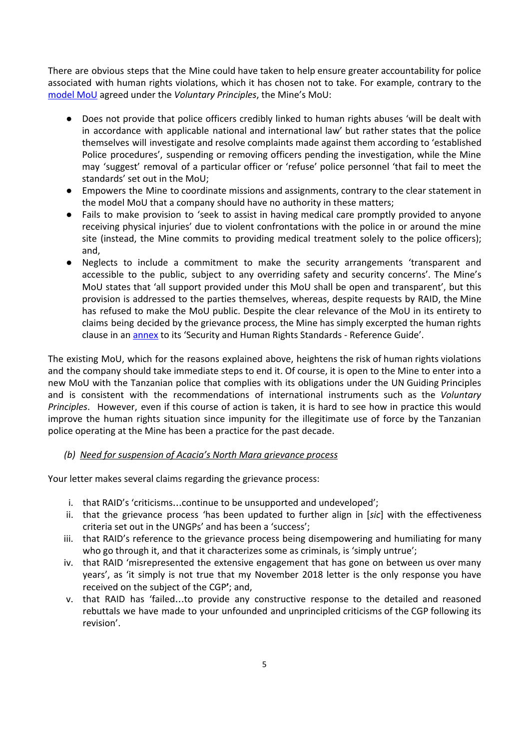There are obvious steps that the Mine could have taken to help ensure greater accountability for police associated with human rights violations, which it has chosen not to take. For example, contrary to the [model](https://docs.wixstatic.com/ugd/f623ce_47e69625843a48d2b648ab8ec1e6bf23.pdf) MoU agreed under the Voluntary Principles, the Mine's MoU:

- Does not provide that police officers credibly linked to human rights abuses 'will be dealt with in accordance with applicable national and international law' but rather states that the police themselves will investigate and resolve complaints made against them according to 'established Police procedures', suspending or removing officers pending the investigation, while the Mine may 'suggest' removal of a particular officer or 'refuse' police personnel 'that fail to meet the standards' set out in the MoU;
- Empowers the Mine to coordinate missions and assignments, contrary to the clear statement in the model MoU that a company should have no authority in these matters;
- Fails to make provision to 'seek to assist in having medical care promptly provided to anyone receiving physical injuries' due to violent confrontations with the police in or around the mine site (instead, the Mine commits to providing medical treatment solely to the police officers); and,
- Neglects to include a commitment to make the security arrangements 'transparent and accessible to the public, subject to any overriding safety and security concerns'. The Mine's MoU states that 'all support provided under this MoU shall be open and transparent', but this provision is addressed to the parties themselves, whereas, despite requests by RAID, the Mine has refused to make the MoU public. Despite the clear relevance of the MoU in its entirety to claims being decided by the grievance process, the Mine has simply excerpted the human rights clause in an **[annex](https://www.acaciamining.com/~/media/Files/A/Acacia/documents/grievance/cgp_security_hr_standards_reference_guide_annexes_201804.pdf)** to its 'Security and Human Rights Standards - Reference Guide'.

The existing MoU, which for the reasons explained above, heightens the risk of human rights violations and the company should take immediate steps to end it. Of course, it is open to the Mine to enter into a new MoU with the Tanzanian police that complies with its obligations under the UN Guiding Principles and is consistent with the recommendations of international instruments such as the Voluntary Principles. However, even if this course of action is taken, it is hard to see how in practice this would improve the human rights situation since impunity for the illegitimate use of force by the Tanzanian police operating at the Mine has been a practice for the past decade.

# (b) Need for suspension of Acacia's North Mara grievance process

Your letter makes several claims regarding the grievance process:

- i. that RAID's 'criticisms…continue to be unsupported and undeveloped';
- ii. that the grievance process 'has been updated to further align in [sic] with the effectiveness criteria set out in the UNGPs' and has been a 'success';
- iii. that RAID's reference to the grievance process being disempowering and humiliating for many who go through it, and that it characterizes some as criminals, is 'simply untrue';
- iv. that RAID 'misrepresented the extensive engagement that has gone on between us over many years', as 'it simply is not true that my November 2018 letter is the only response you have received on the subject of the CGP'; and,
- v. that RAID has 'failed…to provide any constructive response to the detailed and reasoned rebuttals we have made to your unfounded and unprincipled criticisms of the CGP following its revision'.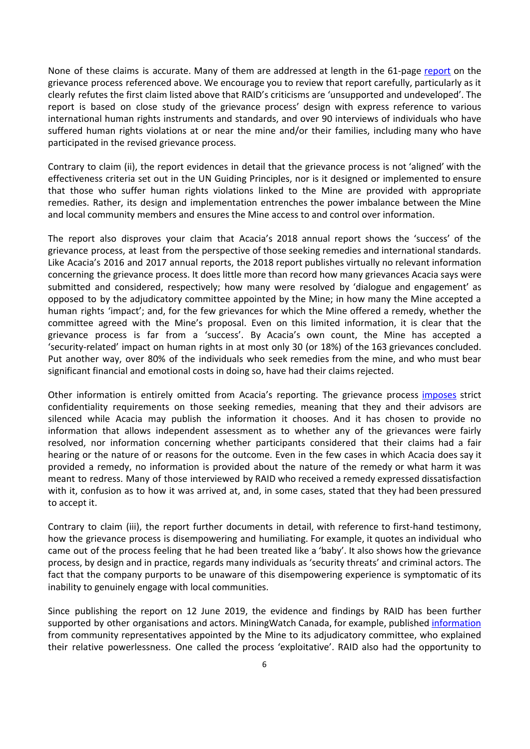None of these claims is accurate. Many of them are addressed at length in the 61-page [report](http://www.raid-uk.org/sites/default/files/raid_report_on_private_grievance_mechanisms_final_12_june_2019.pdf) on the grievance process referenced above. We encourage you to review that report carefully, particularly as it clearly refutes the first claim listed above that RAID's criticisms are 'unsupported and undeveloped'. The report is based on close study of the grievance process' design with express reference to various international human rights instruments and standards, and over 90 interviews of individuals who have suffered human rights violations at or near the mine and/or their families, including many who have participated in the revised grievance process.

Contrary to claim (ii), the report evidences in detail that the grievance process is not 'aligned' with the effectiveness criteria set out in the UN Guiding Principles, nor is it designed or implemented to ensure that those who suffer human rights violations linked to the Mine are provided with appropriate remedies. Rather, its design and implementation entrenches the power imbalance between the Mine and local community members and ensures the Mine access to and control over information.

The report also disproves your claim that Acacia's 2018 annual report shows the 'success' of the grievance process, at least from the perspective of those seeking remedies and international standards. Like Acacia's 2016 and 2017 annual reports, the 2018 report publishes virtually no relevant information concerning the grievance process. It does little more than record how many grievances Acacia says were submitted and considered, respectively; how many were resolved by 'dialogue and engagement' as opposed to by the adjudicatory committee appointed by the Mine; in how many the Mine accepted a human rights 'impact'; and, for the few grievances for which the Mine offered a remedy, whether the committee agreed with the Mine's proposal. Even on this limited information, it is clear that the grievance process is far from a 'success'. By Acacia's own count, the Mine has accepted a 'security-related' impact on human rights in at most only 30 (or 18%) of the 163 grievances concluded. Put another way, over 80% of the individuals who seek remedies from the mine, and who must bear significant financial and emotional costs in doing so, have had their claims rejected.

Other information is entirely omitted from Acacia's reporting. The grievance process [imposes](http://www.raid-uk.org/sites/default/files/raid_report_on_private_grievance_mechanisms_final_12_june_2019.pdf) strict confidentiality requirements on those seeking remedies, meaning that they and their advisors are silenced while Acacia may publish the information it chooses. And it has chosen to provide no information that allows independent assessment as to whether any of the grievances were fairly resolved, nor information concerning whether participants considered that their claims had a fair hearing or the nature of or reasons for the outcome. Even in the few cases in which Acacia does say it provided a remedy, no information is provided about the nature of the remedy or what harm it was meant to redress. Many of those interviewed by RAID who received a remedy expressed dissatisfaction with it, confusion as to how it was arrived at, and, in some cases, stated that they had been pressured to accept it.

Contrary to claim (iii), the report further documents in detail, with reference to first-hand testimony, how the grievance process is disempowering and humiliating. For example, it quotes an individual who came out of the process feeling that he had been treated like a 'baby'. It also shows how the grievance process, by design and in practice, regards many individuals as 'security threats' and criminal actors. The fact that the company purports to be unaware of this disempowering experience is symptomatic of its inability to genuinely engage with local communities.

Since publishing the report on 12 June 2019, the evidence and findings by RAID has been further supported by other organisations and actors. MiningWatch Canada, for example, published [information](https://miningwatch.ca/news/2019/6/11/boxing-my-hands-tied-behind-my-back-barrick-grievance-mechanism-tanzania-not-fair-say) from community representatives appointed by the Mine to its adjudicatory committee, who explained their relative powerlessness. One called the process 'exploitative'. RAID also had the opportunity to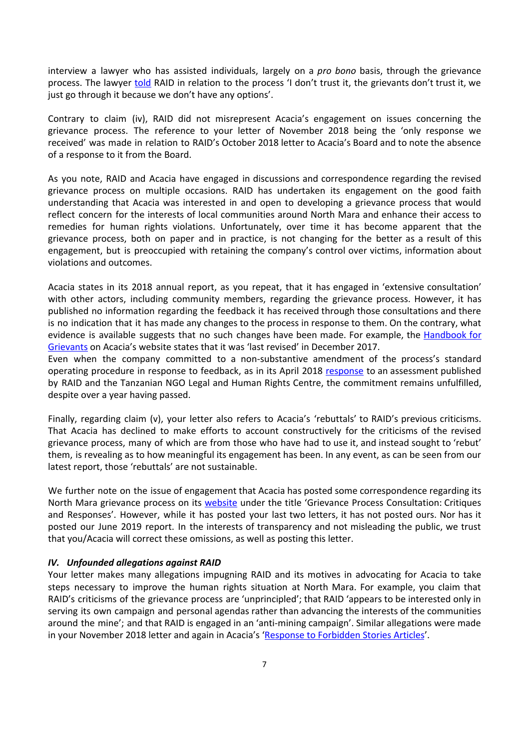interview a lawyer who has assisted individuals, largely on a *pro bono* basis, through the grievance process. The lawyer [told](http://www.raid-uk.org/sites/default/files/qa_on_acacia_mining_in_tanzania_18_june_2019.pdf) RAID in relation to the process 'I don't trust it, the grievants don't trust it, we just go through it because we don't have any options'.

Contrary to claim (iv), RAID did not misrepresent Acacia's engagement on issues concerning the grievance process. The reference to your letter of November 2018 being the 'only response we received' was made in relation to RAID's October 2018 letter to Acacia's Board and to note the absence of a response to it from the Board.

As you note, RAID and Acacia have engaged in discussions and correspondence regarding the revised grievance process on multiple occasions. RAID has undertaken its engagement on the good faith understanding that Acacia was interested in and open to developing a grievance process that would reflect concern for the interests of local communities around North Mara and enhance their access to remedies for human rights violations. Unfortunately, over time it has become apparent that the grievance process, both on paper and in practice, is not changing for the better as a result of this engagement, but is preoccupied with retaining the company's control over victims, information about violations and outcomes.

Acacia states in its 2018 annual report, as you repeat, that it has engaged in 'extensive consultation' with other actors, including community members, regarding the grievance process. However, it has published no information regarding the feedback it has received through those consultations and there is no indication that it has made any changes to the process in response to them. On the contrary, what evidence is available suggests that no such changes have been made. For example, the [Handbook](https://www.acaciamining.com/~/media/Files/A/Acacia/documents/grievance/community-grievance-process-handbook-20171208.pdf) for [Grievants](https://www.acaciamining.com/~/media/Files/A/Acacia/documents/grievance/community-grievance-process-handbook-20171208.pdf) on Acacia's website states that it was 'last revised' in December 2017.

Even when the company committed to a non-substantive amendment of the process's standard operating procedure in [response](https://www.acaciamining.com/~/media/Files/A/Acacia/documents/grievance/NMGML-response-RAID-LHRC-assessment-20180418.pdf) to feedback, as in its April 2018 response to an assessment published by RAID and the Tanzanian NGO Legal and Human Rights Centre, the commitment remains unfulfilled, despite over a year having passed.

Finally, regarding claim (v), your letter also refers to Acacia's 'rebuttals' to RAID's previous criticisms. That Acacia has declined to make efforts to account constructively for the criticisms of the revised grievance process, many of which are from those who have had to use it, and instead sought to 'rebut' them, is revealing as to how meaningful its engagement has been. In any event, as can be seen from our latest report, those 'rebuttals' are not sustainable.

We further note on the issue of engagement that Acacia has posted some correspondence regarding its North Mara grievance process on its [website](https://www.acaciamining.com/sustainability/grievance-process/gp-english.aspx) under the title 'Grievance Process Consultation: Critiques and Responses'. However, while it has posted your last two letters, it has not posted ours. Nor has it posted our June 2019 report. In the interests of transparency and not misleading the public, we trust that you/Acacia will correct these omissions, as well as posting this letter.

#### IV. Unfounded allegations against RAID

Your letter makes many allegations impugning RAID and its motives in advocating for Acacia to take steps necessary to improve the human rights situation at North Mara. For example, you claim that RAID's criticisms of the grievance process are 'unprincipled'; that RAID 'appears to be interested only in serving its own campaign and personal agendas rather than advancing the interests of the communities around the mine'; and that RAID is engaged in an 'anti-mining campaign'. Similar allegations were made in your November 2018 letter and again in Acacia's 'Response to [Forbidden](https://www.acaciamining.com/~/media/Files/A/Acacia/press-release/2019/response-to-forbidden-stories-articles-20190626.pdf) Stories Articles'.